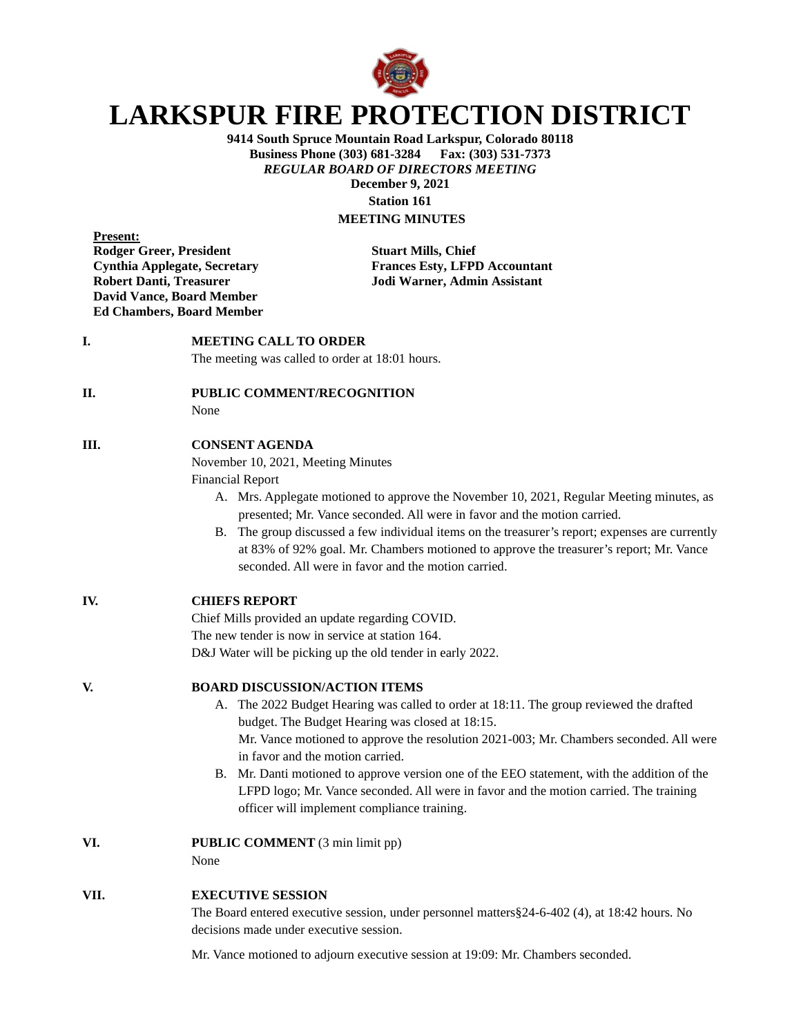

# **LARKSPUR FIRE PROTECTION DISTRICT**

**9414 South Spruce Mountain Road Larkspur, Colorado 80118 Business Phone (303) 681-3284** *REGULAR BOARD OF DIRECTORS MEETING* **December 9, 2021 Station 161**

# **MEETING MINUTES**

**Present: Rodger Greer, President Stuart Mills, Chief David Vance, Board Member Ed Chambers, Board Member**

**Cynthia Applegate, Secretary Frances Esty, LFPD Accountant Robert Danti, Treasurer Jodi Warner, Admin Assistant**

### **I. MEETING CALL TO ORDER**

The meeting was called to order at 18:01 hours.

#### **II. PUBLIC COMMENT/RECOGNITION**

None

#### **III. CONSENT AGENDA**

November 10, 2021, Meeting Minutes

Financial Report

- A. Mrs. Applegate motioned to approve the November 10, 2021, Regular Meeting minutes, as presented; Mr. Vance seconded. All were in favor and the motion carried.
- B. The group discussed a few individual items on the treasurer's report; expenses are currently at 83% of 92% goal. Mr. Chambers motioned to approve the treasurer's report; Mr. Vance seconded. All were in favor and the motion carried.

#### **IV. CHIEFS REPORT**

Chief Mills provided an update regarding COVID. The new tender is now in service at station 164. D&J Water will be picking up the old tender in early 2022.

#### **V. BOARD DISCUSSION/ACTION ITEMS**

- A. The 2022 Budget Hearing was called to order at 18:11. The group reviewed the drafted budget. The Budget Hearing was closed at 18:15. Mr. Vance motioned to approve the resolution 2021-003; Mr. Chambers seconded. All were in favor and the motion carried.
- B. Mr. Danti motioned to approve version one of the EEO statement, with the addition of the LFPD logo; Mr. Vance seconded. All were in favor and the motion carried. The training officer will implement compliance training.
- **VI. PUBLIC COMMENT** (3 min limit pp)

None

#### **VII. EXECUTIVE SESSION**

The Board entered executive session, under personnel matters§24-6-402 (4), at 18:42 hours. No decisions made under executive session.

Mr. Vance motioned to adjourn executive session at 19:09: Mr. Chambers seconded.